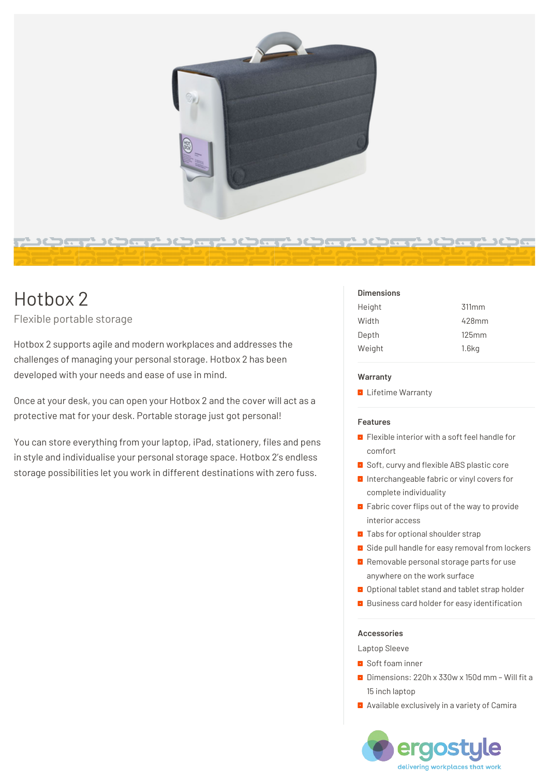

# Hotbox 2

# Flexible portable storage

Hotbox 2 supports agile and modern workplaces and addresses the challenges of managing your personal storage. Hotbox 2 has been developed with your needs and ease of use in mind.

Once at your desk, you can open your Hotbox 2 and the cover will act as a protective mat for your desk. Portable storage just got personal!

You can store everything from your laptop, iPad, stationery, files and pens in style and individualise your personal storage space. Hotbox 2's endless storage possibilities let you work in different destinations with zero fuss.

## **Dimensions**

| Height | 311mm |
|--------|-------|
| Width  | 428mm |
| Depth  | 125mm |
| Weight | 1.6kg |

#### **Warranty**

**Lifetime Warranty** 

#### **Features**

- **F** Flexible interior with a soft feel handle for comfort
- **B** Soft, curvy and flexible ABS plastic core
- **Interchangeable fabric or vinyl covers for** complete individuality
- **Fabric cover flips out of the way to provide** interior access
- **Tabs for optional shoulder strap**
- **B** Side pull handle for easy removal from lockers
- **Removable personal storage parts for use** anywhere on the work surface
- **Optional tablet stand and tablet strap holder**
- **Business card holder for easy identification**

#### **Accessories**

Laptop Sleeve

- Soft foam inner
- Dimensions: 220h x 330w x 150d mm Will fit a 15 inch laptop
- **Available exclusively in a variety of Camira**